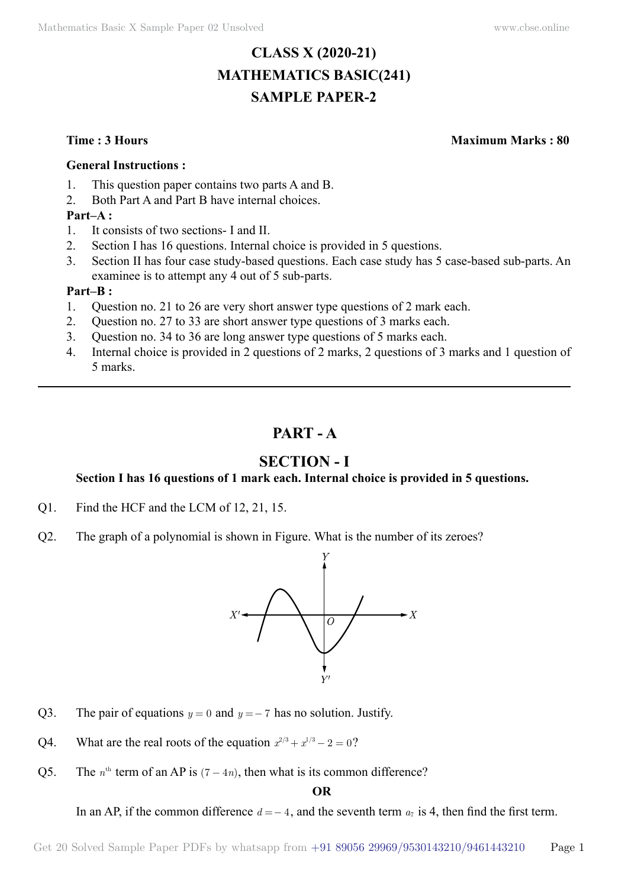# **CLASS X (2020-21) MATHEMATICS BASIC(241) SAMPLE PAPER-2**

**Time : 3 Hours Maximum Marks : 80**

#### **General Instructions :**

- 1. This question paper contains two parts A and B.
- 2. Both Part A and Part B have internal choices.

#### **Part–A :**

- 1. It consists of two sections- I and II.
- 2. Section I has 16 questions. Internal choice is provided in 5 questions.
- 3. Section II has four case study-based questions. Each case study has 5 case-based sub-parts. An examinee is to attempt any 4 out of 5 sub-parts.

#### **Part–B :**

- 1. Question no. 21 to 26 are very short answer type questions of 2 mark each.
- 2. Question no. 27 to 33 are short answer type questions of 3 marks each.
- 3. Question no. 34 to 36 are long answer type questions of 5 marks each.
- 4. Internal choice is provided in 2 questions of 2 marks, 2 questions of 3 marks and 1 question of 5 marks.

## **Part - A**

## **Section - I**

#### **Section I has 16 questions of 1 mark each. Internal choice is provided in 5 questions.**

- Q1. Find the HCF and the LCM of 12, 21, 15.
- Q2. The graph of a polynomial is shown in Figure. What is the number of its zeroes?



- Q3. The pair of equations  $y = 0$  and  $y = -7$  has no solution. Justify.
- Q4. What are the real roots of the equation  $x^{2/3} + x^{1/3} 2 = 0$ ?
- Q5. The  $n^{\text{th}}$  term of an AP is  $(7 4n)$ , then what is its common difference?

#### **O**

In an AP, if the common difference  $d = -4$ , and the seventh term  $a_7$  is 4, then find the first term.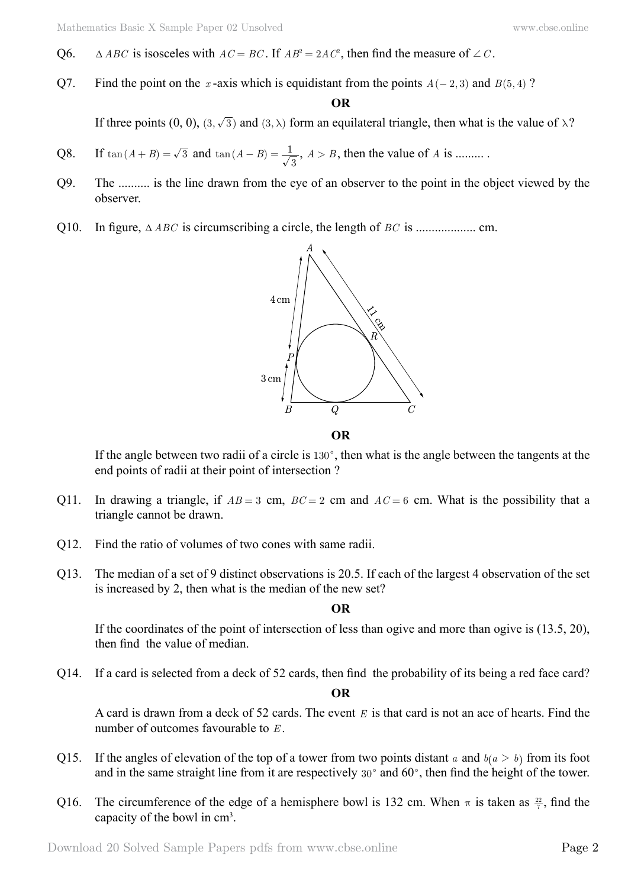- Q6.  $\triangle ABC$  is isosceles with  $AC = BC$ . If  $AB^2 = 2AC^2$ , then find the measure of  $\angle C$ .
- Q7. Find the point on the *x*-axis which is equidistant from the points  $A(-2,3)$  and  $B(5,4)$ ?

#### **O**

If three points (0, 0), (3,  $\sqrt{3}$ ) and (3,  $\lambda$ ) form an equilateral triangle, then what is the value of  $\lambda$ ?

- Q8. If  $tan(A + B) = \sqrt{3}$  and  $tan(A B) = \frac{1}{\sqrt{3}}$ ,  $A > B$ , then the value of *A* is .........
- Q9. The .......... is the line drawn from the eye of an observer to the point in the object viewed by the observer.
- Q10. In figure, T*ABC* is circumscribing a circle, the length of *BC* is ................... cm.



If the angle between two radii of a circle is  $130^\circ$ , then what is the angle between the tangents at the end points of radii at their point of intersection ?

- Q11. In drawing a triangle, if  $AB = 3$  cm,  $BC = 2$  cm and  $AC = 6$  cm. What is the possibility that a triangle cannot be drawn.
- Q12. Find the ratio of volumes of two cones with same radii.
- Q13. The median of a set of 9 distinct observations is 20.5. If each of the largest 4 observation of the set is increased by 2, then what is the median of the new set?

 **O**

If the coordinates of the point of intersection of less than ogive and more than ogive is (13.5, 20), then find the value of median.

Q14. If a card is selected from a deck of 52 cards, then find the probability of its being a red face card?

 **O**

A card is drawn from a deck of 52 cards. The event *E* is that card is not an ace of hearts. Find the number of outcomes favourable to *E* .

- Q15. If the angles of elevation of the top of a tower from two points distant *a* and  $b(a > b)$  from its foot and in the same straight line from it are respectively  $30^{\circ}$  and  $60^{\circ}$ , then find the height of the tower.
- Q16. The circumference of the edge of a hemisphere bowl is 132 cm. When  $\pi$  is taken as  $\frac{22}{7}$ , find the capacity of the bowl in cm3 .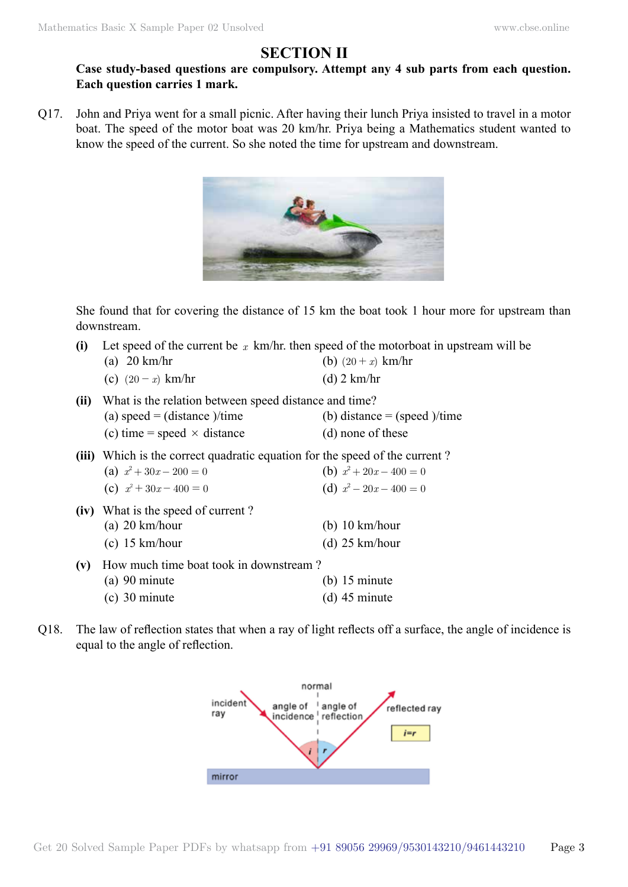## **Section II**

### **Case study-based questions are compulsory. Attempt any 4 sub parts from each question. Each question carries 1 mark.**

Q17. John and Priya went for a small picnic. After having their lunch Priya insisted to travel in a motor boat. The speed of the motor boat was 20 km/hr. Priya being a Mathematics student wanted to know the speed of the current. So she noted the time for upstream and downstream.



She found that for covering the distance of 15 km the boat took 1 hour more for upstream than downstream.

| (i)  | Let speed of the current be x km/hr. then speed of the motorboat in upstream will be                                                  |                                                        |  |
|------|---------------------------------------------------------------------------------------------------------------------------------------|--------------------------------------------------------|--|
|      | (a) $20 \text{ km/hr}$                                                                                                                | (b) $(20 + x)$ km/hr                                   |  |
|      | (c) $(20 - x)$ km/hr                                                                                                                  | $(d)$ 2 km/hr                                          |  |
| (ii) | What is the relation between speed distance and time?<br>(a) speed = (distance )/time<br>(c) time = speed $\times$ distance           | (b) distance $=$ (speed )/time<br>(d) none of these    |  |
|      | (iii) Which is the correct quadratic equation for the speed of the current?<br>(a) $x^2 + 30x - 200 = 0$<br>(c) $x^2 + 30x - 400 = 0$ | (b) $x^2 + 20x - 400 = 0$<br>(d) $x^2 - 20x - 400 = 0$ |  |
|      | (iv) What is the speed of current?<br>(a) $20 \text{ km/hour}$<br>$(c)$ 15 km/hour                                                    | (b) $10 \text{ km/hour}$<br>(d) $25 \text{ km/hour}$   |  |
| (v)  | How much time boat took in downstream?<br>$(a)$ 90 minute<br>$(c)$ 30 minute                                                          | $(b)$ 15 minute<br>$(d)$ 45 minute                     |  |

Q18. The law of reflection states that when a ray of light reflects off a surface, the angle of incidence is equal to the angle of reflection.

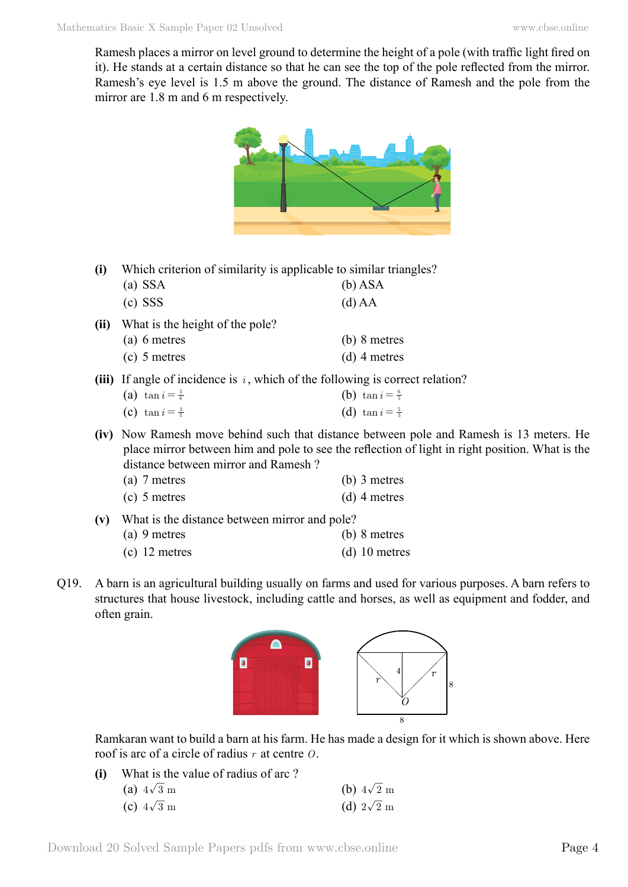Ramesh places a mirror on level ground to determine the height of a pole (with traffic light fired on it). He stands at a certain distance so that he can see the top of the pole reflected from the mirror. Ramesh's eye level is 1.5 m above the ground. The distance of Ramesh and the pole from the mirror are 1.8 m and 6 m respectively.



**(i)** Which criterion of similarity is applicable to similar triangles?

| $(a)$ SSA                            | $(b)$ ASA     |
|--------------------------------------|---------------|
| $(c)$ SSS                            | $(d)$ AA      |
| (ii) What is the height of the pole? | $\sim$ $\sim$ |

- (a) 6 metres (b) 8 metres (c) 5 metres (d) 4 metres
- **(iii)** If angle of incidence is *i* , which of the following is correct relation?

| (a) $\tan i = \frac{5}{6}$ | (b) $\tan i = \frac{6}{5}$ |
|----------------------------|----------------------------|
| (c) $\tan i = \frac{3}{5}$ | (d) $\tan i = \frac{5}{3}$ |

**(iv)** Now Ramesh move behind such that distance between pole and Ramesh is 13 meters. He place mirror between him and pole to see the reflection of light in right position. What is the distance between mirror and Ramesh ?

| (a) 7 metres | $(b)$ 3 metres |
|--------------|----------------|
|--------------|----------------|

| (c) 5 metres | $(d)$ 4 metres |
|--------------|----------------|
|              |                |

**(v)** What is the distance between mirror and pole?

| $(a)$ 9 metres | $(b)$ 8 metres |
|----------------|----------------|
|                |                |

- (c) 12 metres (d) 10 metres
- Q19. A barn is an agricultural building usually on farms and used for various purposes. A barn refers to structures that house livestock, including cattle and horses, as well as equipment and fodder, and often grain.



Ramkaran want to build a barn at his farm. He has made a design for it which is shown above. Here roof is arc of a circle of radius *r* at centre *O*.

**(i)** What is the value of radius of arc ?

| (a) $4\sqrt{3}$ m | (b) $4\sqrt{2}$ m |
|-------------------|-------------------|
| (c) $4\sqrt{3}$ m | (d) $2\sqrt{2}$ m |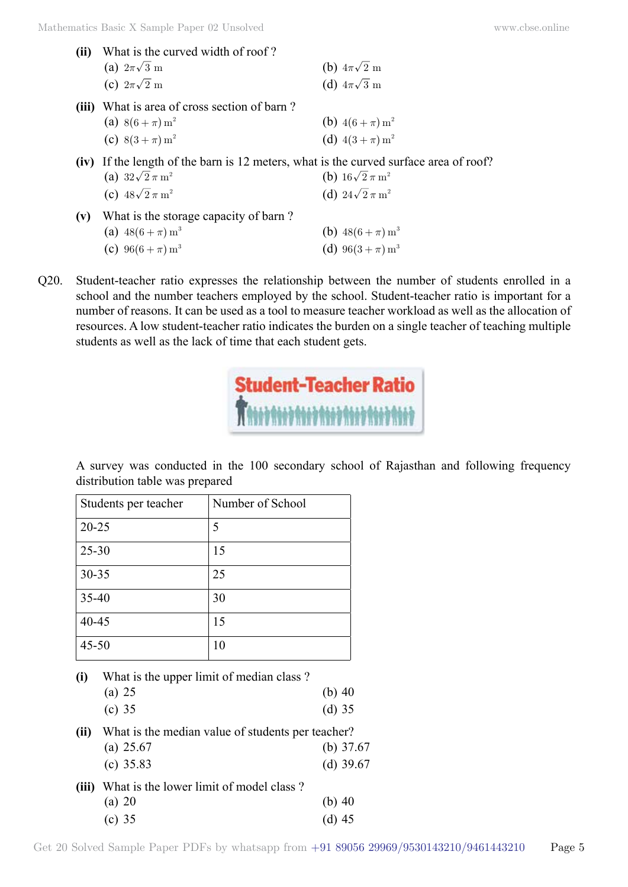| (ii)  | What is the curved width of roof?                                                     |                                     |
|-------|---------------------------------------------------------------------------------------|-------------------------------------|
|       | (a) $2\pi\sqrt{3}$ m                                                                  | (b) $4\pi\sqrt{2}$ m                |
|       | (c) $2\pi\sqrt{2}$ m                                                                  | (d) $4\pi\sqrt{3}$ m                |
| (iii) | What is area of cross section of barn?                                                |                                     |
|       | (a) $8(6 + \pi) m^2$                                                                  | (b) $4(6 + \pi) m^2$                |
|       | (c) $8(3 + \pi) m^2$                                                                  | (d) $4(3 + \pi) m^2$                |
|       | (iv) If the length of the barn is 12 meters, what is the curved surface area of roof? |                                     |
|       | (a) $32\sqrt{2}\,\pi\,\text{m}^2$                                                     | (b) $16\sqrt{2} \pi m^2$            |
|       | (c) $48\sqrt{2}\,\pi\,\text{m}^2$                                                     | (d) $24\sqrt{2}\,\pi\,\mathrm{m}^2$ |
| (v)   | What is the storage capacity of barn?                                                 |                                     |
|       | (a) $48(6 + \pi) m^3$                                                                 | (b) $48(6 + \pi) m^3$               |
|       | (c) $96(6 + \pi) m^3$                                                                 | (d) $96(3 + \pi) m^3$               |
|       |                                                                                       |                                     |

Q20. Student-teacher ratio expresses the relationship between the number of students enrolled in a school and the number teachers employed by the school. Student-teacher ratio is important for a number of reasons. It can be used as a tool to measure teacher workload as well as the allocation of resources. A low student-teacher ratio indicates the burden on a single teacher of teaching multiple students as well as the lack of time that each student gets.

| <b>Student-Teacher Ratio</b>              |  |
|-------------------------------------------|--|
| <b>Rate and and and and and and and a</b> |  |

A survey was conducted in the 100 secondary school of Rajasthan and following frequency distribution table was prepared

| Students per teacher | Number of School |
|----------------------|------------------|
| $20 - 25$            | 5                |
| $25 - 30$            | 15               |
| $30 - 35$            | 25               |
| 35-40                | 30               |
| 40-45                | 15               |
| $45 - 50$            | 10               |

| (i) | What is the upper limit of median class? |          |
|-----|------------------------------------------|----------|
|     | (a) 25                                   | (b) $40$ |
|     | (c) $35$                                 | $(d)$ 35 |

**(ii)** What is the median value of students per teacher? (a) 25.67 (b) 37.67 (c) 35.83 (d) 39.67

| (iii) What is the lower limit of model class? |          |
|-----------------------------------------------|----------|
| (a) 20                                        | (b) $40$ |
| (c) $35$                                      | (d) $45$ |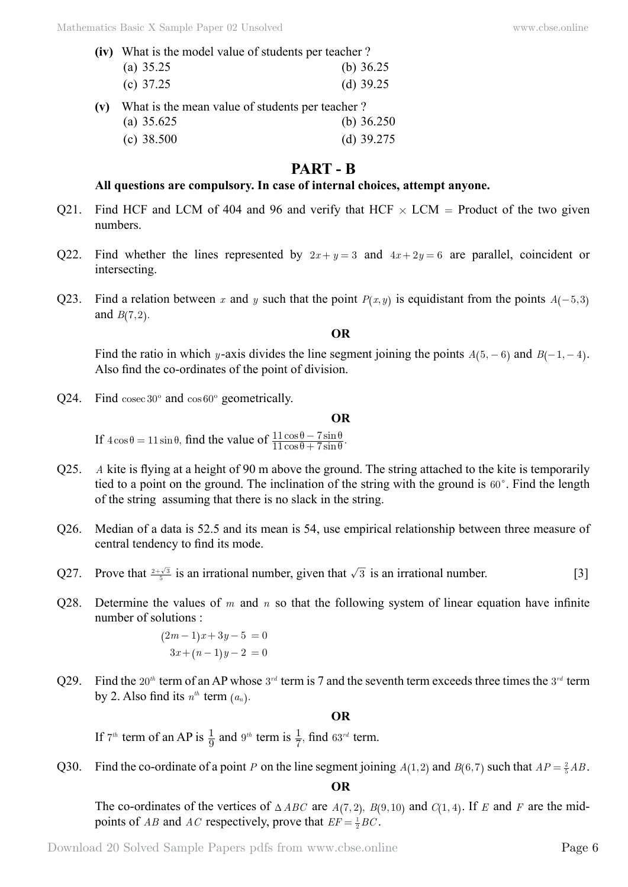| (iv) What is the model value of students per teacher? |  |  |  |  |             |
|-------------------------------------------------------|--|--|--|--|-------------|
| (a) $35.25$                                           |  |  |  |  | (b) $36.25$ |
| (c) $37.25$                                           |  |  |  |  | (d) $39.25$ |
|                                                       |  |  |  |  |             |

**(v)** What is the mean value of students per teacher ? (a) 35.625 (b) 36.250 (c) 38.500 (d) 39.275

## **Part - B**

#### **All questions are compulsory. In case of internal choices, attempt anyone.**

- Q21. Find HCF and LCM of 404 and 96 and verify that HCF  $\times$  LCM = Product of the two given numbers.
- Q22. Find whether the lines represented by  $2x + y = 3$  and  $4x + 2y = 6$  are parallel, coincident or intersecting.
- Q23. Find a relation between *x* and *y* such that the point  $P(x, y)$  is equidistant from the points  $A(-5, 3)$ and  $B(7, 2)$ .

#### **O**

Find the ratio in which *y*-axis divides the line segment joining the points  $A(5, -6)$  and  $B(-1, -4)$ . Also find the co-ordinates of the point of division.

Q24. Find cosec 30º and cos 60º geometrically.

#### **O**

If  $4\cos\theta = 11\sin\theta$ , find the value of  $\frac{11\cos\theta - 7\sin\theta}{11\cos\theta + 7\sin\theta}$ .  $11\cos\theta + 7$  $11\cos\theta - 7$  $\theta + 7\sin\theta$  $\theta - 7\sin\theta$  $^{+}$ −

- Q25. *A* kite is flying at a height of 90 m above the ground. The string attached to the kite is temporarily tied to a point on the ground. The inclination of the string with the ground is  $60^\circ$ . Find the length of the string assuming that there is no slack in the string.
- Q26. Median of a data is 52.5 and its mean is 54, use empirical relationship between three measure of central tendency to find its mode.
- Q27. Prove that  $\frac{2+\sqrt{3}}{5}$  is an irrational number, given that  $\sqrt{3}$  is an irrational number. [3]
- Q28. Determine the values of *m* and *n* so that the following system of linear equation have infinite number of solutions :

$$
(2m-1)x + 3y - 5 = 0
$$
  
3x + (n-1)y - 2 = 0

Q29. Find the 20<sup>th</sup> term of an AP whose 3<sup>rd</sup> term is 7 and the seventh term exceeds three times the 3<sup>rd</sup> term by 2. Also find its  $n^{th}$  term  $(a_n)$ .

#### **O**

If  $7^{th}$  term of an AP is  $\frac{1}{9}$  and  $9^{th}$  term is  $\frac{1}{7}$ , find  $63^{rd}$  term.

Q30. Find the co-ordinate of a point *P* on the line segment joining  $A(1,2)$  and  $B(6,7)$  such that  $AP = \frac{2}{5} AB$ .

 **O**

The co-ordinates of the vertices of  $\triangle ABC$  are  $A(7, 2)$ ,  $B(9, 10)$  and  $C(1, 4)$ . If *E* and *F* are the midpoints of *AB* and *AC* respectively, prove that  $EF = \frac{1}{2}BC$ .